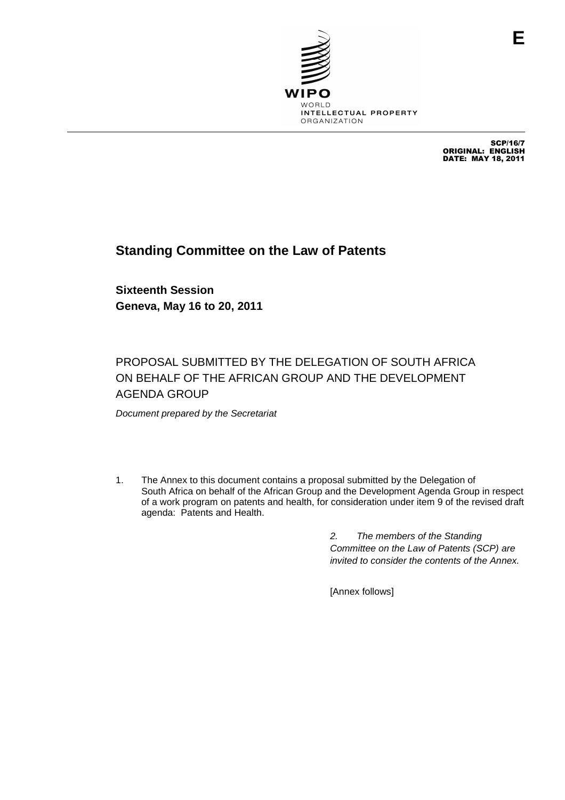

SCP/16/7 ORIGINAL: ENGLISH DATE: MAY 18, 2011

# **Standing Committee on the Law of Patents**

**Sixteenth Session Geneva, May 16 to 20, 2011**

# PROPOSAL SUBMITTED BY THE DELEGATION OF SOUTH AFRICA ON BEHALF OF THE AFRICAN GROUP AND THE DEVELOPMENT AGENDA GROUP

Document prepared by the Secretariat

1. The Annex to this document contains a proposal submitted by the Delegation of South Africa on behalf of the African Group and the Development Agenda Group in respect of a work program on patents and health, for consideration under item 9 of the revised draft agenda: Patents and Health.

> 2. The members of the Standing Committee on the Law of Patents (SCP) are invited to consider the contents of the Annex.

[Annex follows]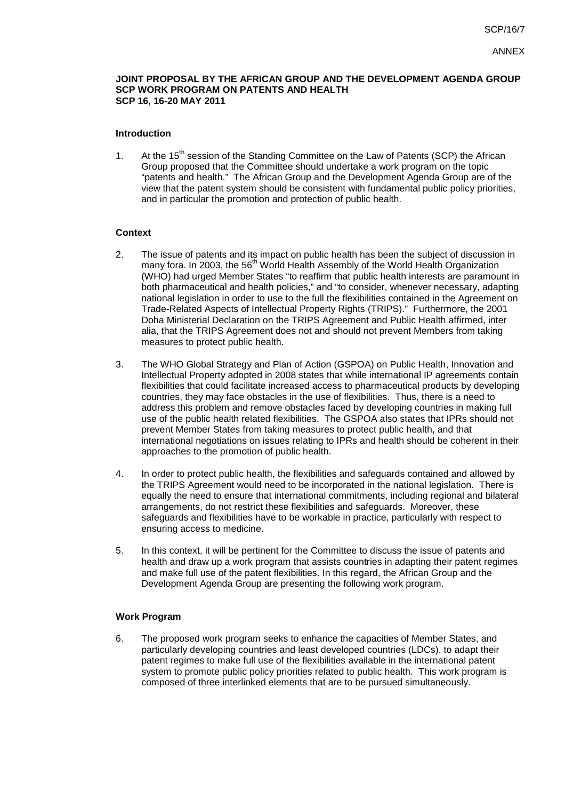#### **JOINT PROPOSAL BY THE AFRICAN GROUP AND THE DEVELOPMENT AGENDA GROUP SCP WORK PROGRAM ON PATENTS AND HEALTH SCP 16, 16-20 MAY 2011**

#### **Introduction**

1. At the 15<sup>th</sup> session of the Standing Committee on the Law of Patents (SCP) the African Group proposed that the Committee should undertake a work program on the topic "patents and health." The African Group and the Development Agenda Group are of the view that the patent system should be consistent with fundamental public policy priorities, and in particular the promotion and protection of public health.

## **Context**

- 2. The issue of patents and its impact on public health has been the subject of discussion in many fora. In 2003, the 56<sup>th</sup> World Health Assembly of the World Health Organization (WHO) had urged Member States "to reaffirm that public health interests are paramount in both pharmaceutical and health policies," and "to consider, whenever necessary, adapting national legislation in order to use to the full the flexibilities contained in the Agreement on Trade-Related Aspects of Intellectual Property Rights (TRIPS)." Furthermore, the 2001 Doha Ministerial Declaration on the TRIPS Agreement and Public Health affirmed, inter alia, that the TRIPS Agreement does not and should not prevent Members from taking measures to protect public health.
- 3. The WHO Global Strategy and Plan of Action (GSPOA) on Public Health, Innovation and Intellectual Property adopted in 2008 states that while international IP agreements contain flexibilities that could facilitate increased access to pharmaceutical products by developing countries, they may face obstacles in the use of flexibilities. Thus, there is a need to address this problem and remove obstacles faced by developing countries in making full use of the public health related flexibilities. The GSPOA also states that IPRs should not prevent Member States from taking measures to protect public health, and that international negotiations on issues relating to IPRs and health should be coherent in their approaches to the promotion of public health.
- 4. In order to protect public health, the flexibilities and safeguards contained and allowed by the TRIPS Agreement would need to be incorporated in the national legislation. There is equally the need to ensure that international commitments, including regional and bilateral arrangements, do not restrict these flexibilities and safeguards. Moreover, these safeguards and flexibilities have to be workable in practice, particularly with respect to ensuring access to medicine.
- 5. In this context, it will be pertinent for the Committee to discuss the issue of patents and health and draw up a work program that assists countries in adapting their patent regimes and make full use of the patent flexibilities. In this regard, the African Group and the Development Agenda Group are presenting the following work program.

#### **Work Program**

6. The proposed work program seeks to enhance the capacities of Member States, and particularly developing countries and least developed countries (LDCs), to adapt their patent regimes to make full use of the flexibilities available in the international patent system to promote public policy priorities related to public health. This work program is composed of three interlinked elements that are to be pursued simultaneously.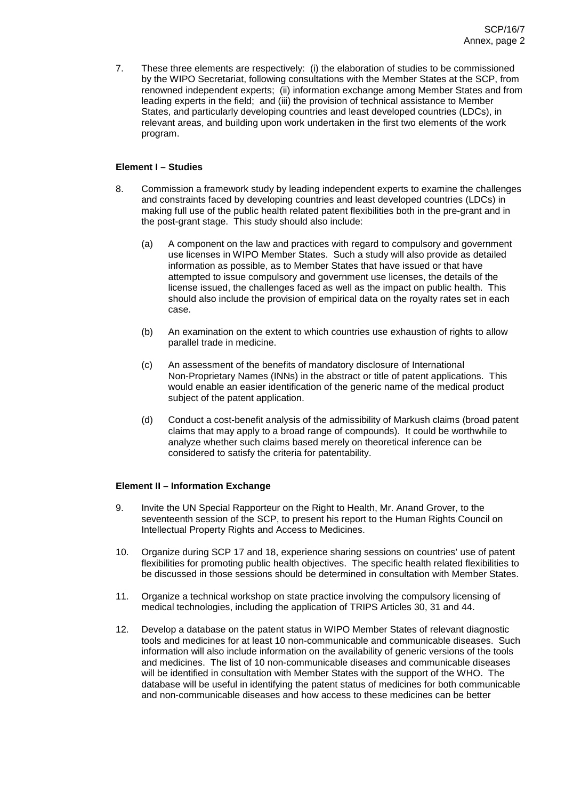7. These three elements are respectively: (i) the elaboration of studies to be commissioned by the WIPO Secretariat, following consultations with the Member States at the SCP, from renowned independent experts; (ii) information exchange among Member States and from leading experts in the field; and (iii) the provision of technical assistance to Member States, and particularly developing countries and least developed countries (LDCs), in relevant areas, and building upon work undertaken in the first two elements of the work program.

# **Element I – Studies**

- 8. Commission a framework study by leading independent experts to examine the challenges and constraints faced by developing countries and least developed countries (LDCs) in making full use of the public health related patent flexibilities both in the pre-grant and in the post-grant stage. This study should also include:
	- (a) A component on the law and practices with regard to compulsory and government use licenses in WIPO Member States. Such a study will also provide as detailed information as possible, as to Member States that have issued or that have attempted to issue compulsory and government use licenses, the details of the license issued, the challenges faced as well as the impact on public health. This should also include the provision of empirical data on the royalty rates set in each case.
	- (b) An examination on the extent to which countries use exhaustion of rights to allow parallel trade in medicine.
	- (c) An assessment of the benefits of mandatory disclosure of International Non-Proprietary Names (INNs) in the abstract or title of patent applications. This would enable an easier identification of the generic name of the medical product subject of the patent application.
	- (d) Conduct a cost-benefit analysis of the admissibility of Markush claims (broad patent claims that may apply to a broad range of compounds). It could be worthwhile to analyze whether such claims based merely on theoretical inference can be considered to satisfy the criteria for patentability.

# **Element II – Information Exchange**

- 9. Invite the UN Special Rapporteur on the Right to Health, Mr. Anand Grover, to the seventeenth session of the SCP, to present his report to the Human Rights Council on Intellectual Property Rights and Access to Medicines.
- 10. Organize during SCP 17 and 18, experience sharing sessions on countries' use of patent flexibilities for promoting public health objectives. The specific health related flexibilities to be discussed in those sessions should be determined in consultation with Member States.
- 11. Organize a technical workshop on state practice involving the compulsory licensing of medical technologies, including the application of TRIPS Articles 30, 31 and 44.
- 12. Develop a database on the patent status in WIPO Member States of relevant diagnostic tools and medicines for at least 10 non-communicable and communicable diseases. Such information will also include information on the availability of generic versions of the tools and medicines. The list of 10 non-communicable diseases and communicable diseases will be identified in consultation with Member States with the support of the WHO. The database will be useful in identifying the patent status of medicines for both communicable and non-communicable diseases and how access to these medicines can be better